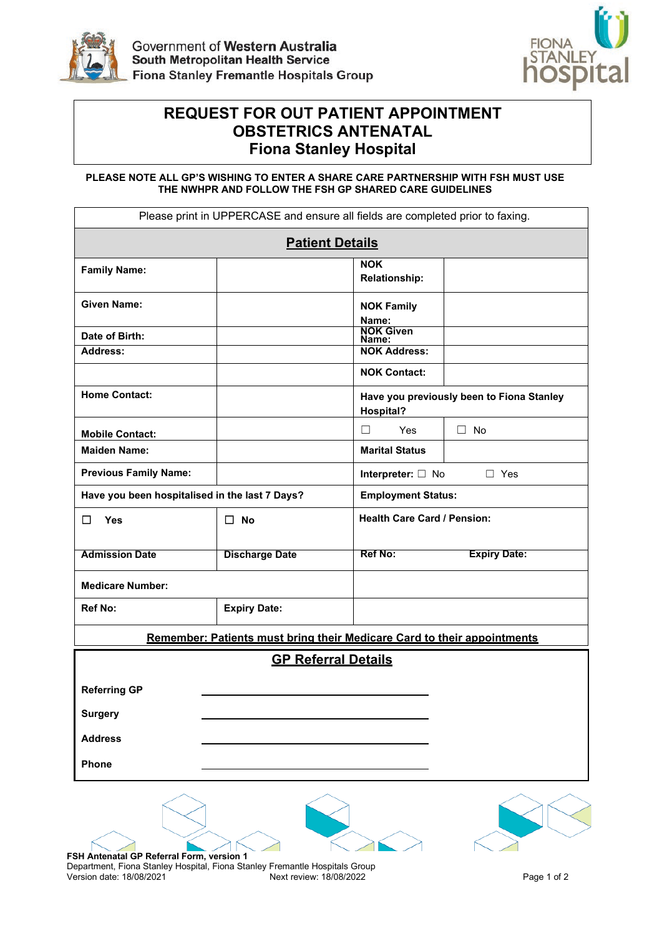



## $\blacksquare$  **Fiona Stanley Hospital REQUEST FOR OUT PATIENT APPOINTMENT OBSTETRICS ANTENATAL**

**PLEASE NOTE ALL GP'S WISHING TO ENTER A SHARE CARE PARTNERSHIP WITH FSH MUST USE THE NWHPR AND FOLLOW THE FSH GP SHARED CARE GUIDELINES** 

|                                                                                                         | Please print in UPPERCASE and ensure all fields are completed prior to faxing. |                                    |                                           |  |  |
|---------------------------------------------------------------------------------------------------------|--------------------------------------------------------------------------------|------------------------------------|-------------------------------------------|--|--|
|                                                                                                         | <b>Patient Details</b>                                                         |                                    |                                           |  |  |
| <b>Family Name:</b>                                                                                     |                                                                                | <b>NOK</b><br><b>Relationship:</b> |                                           |  |  |
| <b>Given Name:</b>                                                                                      |                                                                                | <b>NOK Family</b><br>Name:         |                                           |  |  |
| Date of Birth:                                                                                          |                                                                                | <b>NOK Given</b><br>Name:          |                                           |  |  |
| <b>Address:</b>                                                                                         |                                                                                | <b>NOK Address:</b>                |                                           |  |  |
|                                                                                                         |                                                                                | <b>NOK Contact:</b>                |                                           |  |  |
| <b>Home Contact:</b>                                                                                    |                                                                                | <b>Hospital?</b>                   | Have you previously been to Fiona Stanley |  |  |
| <b>Mobile Contact:</b>                                                                                  |                                                                                | П<br><b>Yes</b>                    | $\Box$ No                                 |  |  |
| <b>Maiden Name:</b>                                                                                     |                                                                                | <b>Marital Status</b>              |                                           |  |  |
| <b>Previous Family Name:</b>                                                                            |                                                                                | Interpreter: $\Box$ No             | $\Box$ Yes                                |  |  |
| Have you been hospitalised in the last 7 Days?                                                          |                                                                                |                                    | <b>Employment Status:</b>                 |  |  |
| П<br>Yes                                                                                                | $\Box$ No                                                                      | <b>Health Care Card / Pension:</b> |                                           |  |  |
| <b>Admission Date</b>                                                                                   | <b>Discharge Date</b>                                                          | Ref No:                            | <b>Expiry Date:</b>                       |  |  |
| <b>Medicare Number:</b>                                                                                 |                                                                                |                                    |                                           |  |  |
| <b>Ref No:</b>                                                                                          | <b>Expiry Date:</b>                                                            |                                    |                                           |  |  |
|                                                                                                         | Remember: Patients must bring their Medicare Card to their appointments        |                                    |                                           |  |  |
|                                                                                                         | <b>GP Referral Details</b>                                                     |                                    |                                           |  |  |
| <b>Referring GP</b>                                                                                     |                                                                                |                                    |                                           |  |  |
| <b>Surgery</b>                                                                                          |                                                                                |                                    |                                           |  |  |
| <b>Address</b>                                                                                          |                                                                                |                                    |                                           |  |  |
| Phone                                                                                                   |                                                                                |                                    |                                           |  |  |
|                                                                                                         |                                                                                |                                    |                                           |  |  |
|                                                                                                         |                                                                                |                                    |                                           |  |  |
| FSH Antenatal GP Referral Form, version 1                                                               |                                                                                |                                    |                                           |  |  |
| Department, Fiona Stanley Hospital, Fiona Stanley Fremantle Hospitals Group<br>Version date: 18/08/2021 | Next review: 18/08/2022                                                        |                                    | Page 1 of 2                               |  |  |